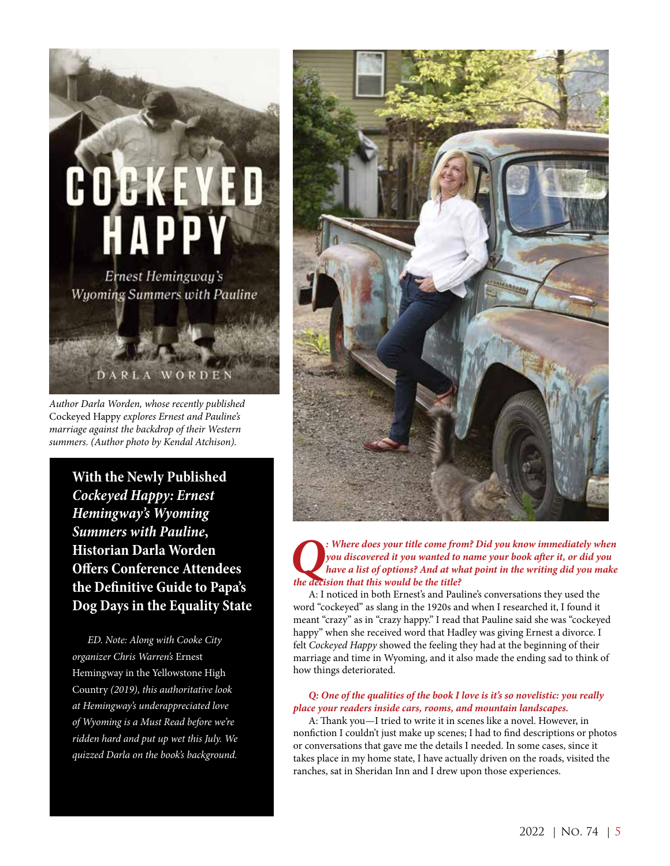

*Author Darla Worden, whose recently published*  Cockeyed Happy *explores Ernest and Pauline's marriage against the backdrop of their Western summers. (Author photo by Kendal Atchison).* 

**With the Newly Published**  *Cockeyed Happy: Ernest Hemingway's Wyoming Summers with Pauline***, Historian Darla Worden Offers Conference Attendees the Definitive Guide to Papa's Dog Days in the Equality State**

*ED. Note: Along with Cooke City organizer Chris Warren's* Ernest Hemingway in the Yellowstone High Country *(2019), this authoritative look at Hemingway's underappreciated love of Wyoming is a Must Read before we're ridden hard and put up wet this July. We quizzed Darla on the book's background.*



*Q: Where does your title come from? Did you know immediately when you discovered it you wanted to name your book after it, or did you have a list of options? And at what point in the writing did you make the decision that this would be the title?*

A: I noticed in both Ernest's and Pauline's conversations they used the word "cockeyed" as slang in the 1920s and when I researched it, I found it meant "crazy" as in "crazy happy." I read that Pauline said she was "cockeyed happy" when she received word that Hadley was giving Ernest a divorce. I felt *Cockeyed Happy* showed the feeling they had at the beginning of their marriage and time in Wyoming, and it also made the ending sad to think of how things deteriorated.

## *Q: One of the qualities of the book I love is it's so novelistic: you really place your readers inside cars, rooms, and mountain landscapes.*

A: Thank you—I tried to write it in scenes like a novel. However, in nonfiction I couldn't just make up scenes; I had to find descriptions or photos or conversations that gave me the details I needed. In some cases, since it takes place in my home state, I have actually driven on the roads, visited the ranches, sat in Sheridan Inn and I drew upon those experiences.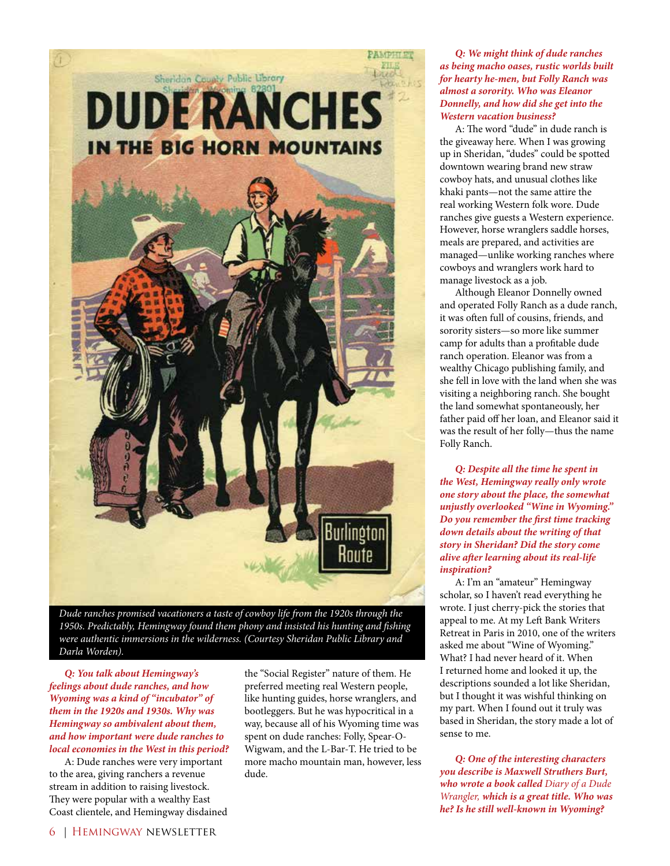

*Dude ranches promised vacationers a taste of cowboy life from the 1920s through the 1950s. Predictably, Hemingway found them phony and insisted his hunting and fishing were authentic immersions in the wilderness. (Courtesy Sheridan Public Library and Darla Worden).*

*Q: You talk about Hemingway's feelings about dude ranches, and how Wyoming was a kind of "incubator" of them in the 1920s and 1930s. Why was Hemingway so ambivalent about them, and how important were dude ranches to local economies in the West in this period?* 

A: Dude ranches were very important to the area, giving ranchers a revenue stream in addition to raising livestock. They were popular with a wealthy East Coast clientele, and Hemingway disdained

the "Social Register" nature of them. He preferred meeting real Western people, like hunting guides, horse wranglers, and bootleggers. But he was hypocritical in a way, because all of his Wyoming time was spent on dude ranches: Folly, Spear-O-Wigwam, and the L-Bar-T. He tried to be more macho mountain man, however, less dude.

*Q: We might think of dude ranches as being macho oases, rustic worlds built for hearty he-men, but Folly Ranch was almost a sorority. Who was Eleanor Donnelly, and how did she get into the Western vacation business?* 

A: The word "dude" in dude ranch is the giveaway here. When I was growing up in Sheridan, "dudes" could be spotted downtown wearing brand new straw cowboy hats, and unusual clothes like khaki pants—not the same attire the real working Western folk wore. Dude ranches give guests a Western experience. However, horse wranglers saddle horses, meals are prepared, and activities are managed—unlike working ranches where cowboys and wranglers work hard to manage livestock as a job.

Although Eleanor Donnelly owned and operated Folly Ranch as a dude ranch, it was often full of cousins, friends, and sorority sisters—so more like summer camp for adults than a profitable dude ranch operation. Eleanor was from a wealthy Chicago publishing family, and she fell in love with the land when she was visiting a neighboring ranch. She bought the land somewhat spontaneously, her father paid off her loan, and Eleanor said it was the result of her folly—thus the name Folly Ranch.

*Q: Despite all the time he spent in the West, Hemingway really only wrote one story about the place, the somewhat unjustly overlooked "Wine in Wyoming." Do you remember the first time tracking down details about the writing of that story in Sheridan? Did the story come alive after learning about its real-life inspiration?* 

A: I'm an "amateur" Hemingway scholar, so I haven't read everything he wrote. I just cherry-pick the stories that appeal to me. At my Left Bank Writers Retreat in Paris in 2010, one of the writers asked me about "Wine of Wyoming." What? I had never heard of it. When I returned home and looked it up, the descriptions sounded a lot like Sheridan, but I thought it was wishful thinking on my part. When I found out it truly was based in Sheridan, the story made a lot of sense to me.

*Q: One of the interesting characters you describe is Maxwell Struthers Burt, who wrote a book called Diary of a Dude Wrangler, which is a great title. Who was he? Is he still well-known in Wyoming?*